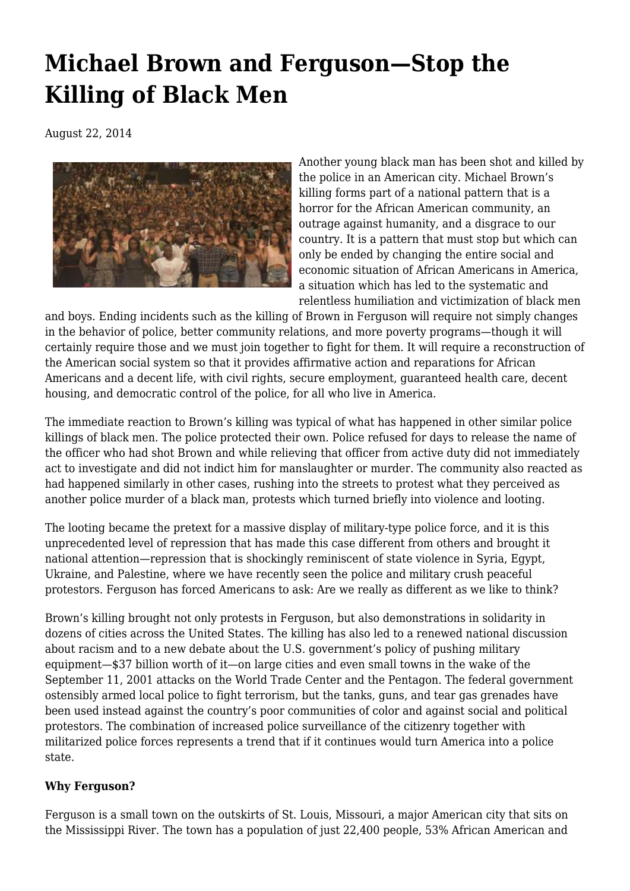## **[Michael Brown and Ferguson—Stop the](https://newpol.org/michael-brown-and-ferguson-stop-killing-black-men/) [Killing of Black Men](https://newpol.org/michael-brown-and-ferguson-stop-killing-black-men/)**

August 22, 2014



Another young black man has been shot and killed by the police in an American city. Michael Brown's killing forms part of a national pattern that is a horror for the African American community, an outrage against humanity, and a disgrace to our country. It is a pattern that must stop but which can only be ended by changing the entire social and economic situation of African Americans in America, a situation which has led to the systematic and relentless humiliation and victimization of black men

and boys. Ending incidents such as the killing of Brown in Ferguson will require not simply changes in the behavior of police, better community relations, and more poverty programs—though it will certainly require those and we must join together to fight for them. It will require a reconstruction of the American social system so that it provides affirmative action and reparations for African Americans and a decent life, with civil rights, secure employment, guaranteed health care, decent housing, and democratic control of the police, for all who live in America.

The immediate reaction to Brown's killing was typical of what has happened in other similar police killings of black men. The police protected their own. Police refused for days to release the name of the officer who had shot Brown and while relieving that officer from active duty did not immediately act to investigate and did not indict him for manslaughter or murder. The community also reacted as had happened similarly in other cases, rushing into the streets to protest what they perceived as another police murder of a black man, protests which turned briefly into violence and looting.

The looting became the pretext for a massive display of military-type police force, and it is this unprecedented level of repression that has made this case different from others and brought it national attention—repression that is shockingly reminiscent of state violence in Syria, Egypt, Ukraine, and Palestine, where we have recently seen the police and military crush peaceful protestors. Ferguson has forced Americans to ask: Are we really as different as we like to think?

Brown's killing brought not only protests in Ferguson, but also demonstrations in solidarity in dozens of cities across the United States. The killing has also led to a renewed national discussion about racism and to a new debate about the U.S. government's policy of pushing military equipment—\$37 billion worth of it—on large cities and even small towns in the wake of the September 11, 2001 attacks on the World Trade Center and the Pentagon. The federal government ostensibly armed local police to fight terrorism, but the tanks, guns, and tear gas grenades have been used instead against the country's poor communities of color and against social and political protestors. The combination of increased police surveillance of the citizenry together with militarized police forces represents a trend that if it continues would turn America into a police state.

## **Why Ferguson?**

Ferguson is a small town on the outskirts of St. Louis, Missouri, a major American city that sits on the Mississippi River. The town has a population of just 22,400 people, 53% African American and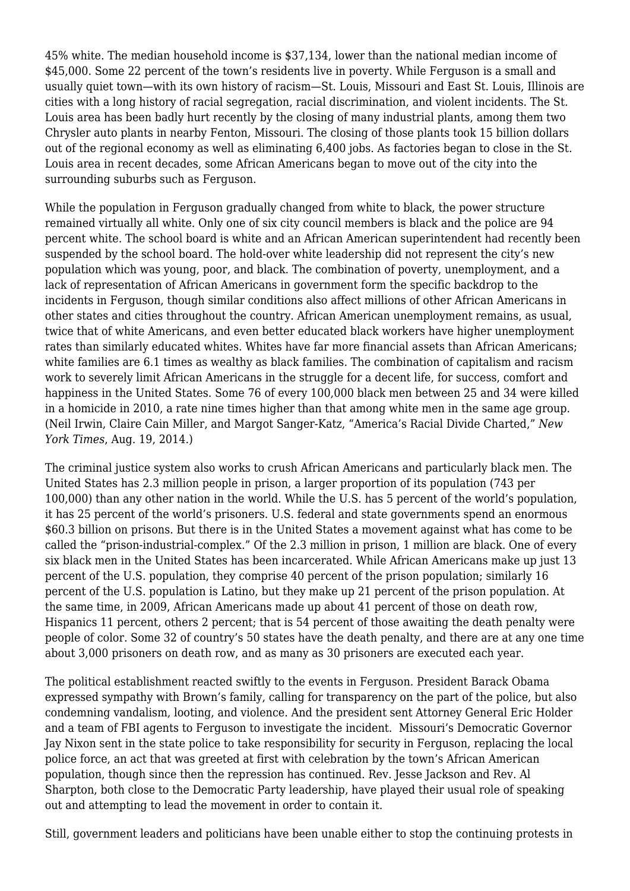45% white. The median household income is \$37,134, lower than the national median income of \$45,000. Some 22 percent of the town's residents live in poverty. While Ferguson is a small and usually quiet town—with its own history of racism—St. Louis, Missouri and East St. Louis, Illinois are cities with a long history of racial segregation, racial discrimination, and violent incidents. The St. Louis area has been badly hurt recently by the closing of many industrial plants, among them two Chrysler auto plants in nearby Fenton, Missouri. The closing of those plants took 15 billion dollars out of the regional economy as well as eliminating 6,400 jobs. As factories began to close in the St. Louis area in recent decades, some African Americans began to move out of the city into the surrounding suburbs such as Ferguson.

While the population in Ferguson gradually changed from white to black, the power structure remained virtually all white. Only one of six city council members is black and the police are 94 percent white. The school board is white and an African American superintendent had recently been suspended by the school board. The hold-over white leadership did not represent the city's new population which was young, poor, and black. The combination of poverty, unemployment, and a lack of representation of African Americans in government form the specific backdrop to the incidents in Ferguson, though similar conditions also affect millions of other African Americans in other states and cities throughout the country. African American unemployment remains, as usual, twice that of white Americans, and even better educated black workers have higher unemployment rates than similarly educated whites. Whites have far more financial assets than African Americans; white families are 6.1 times as wealthy as black families. The combination of capitalism and racism work to severely limit African Americans in the struggle for a decent life, for success, comfort and happiness in the United States. Some 76 of every 100,000 black men between 25 and 34 were killed in a homicide in 2010, a rate nine times higher than that among white men in the same age group. (Neil Irwin, Claire Cain Miller, and Margot Sanger-Katz, "[America's Racial Divide Charted,](http://www.nytimes.com/2014/08/20/upshot/americas-racial-divide-charted.html)" *New York Times*, Aug. 19, 2014.)

The criminal justice system also works to crush African Americans and particularly black men. The United States has 2.3 million people in prison, a larger proportion of its population (743 per 100,000) than any other nation in the world. While the U.S. has 5 percent of the world's population, it has 25 percent of the world's prisoners. U.S. federal and state governments spend an enormous \$60.3 billion on prisons. But there is in the United States a movement against what has come to be called the "prison-industrial-complex." Of the 2.3 million in prison, 1 million are black. One of every six black men in the United States has been incarcerated. While African Americans make up just 13 percent of the U.S. population, they comprise 40 percent of the prison population; similarly 16 percent of the U.S. population is Latino, but they make up 21 percent of the prison population. At the same time, in 2009, African Americans made up about 41 percent of those on death row, Hispanics 11 percent, others 2 percent; that is 54 percent of those awaiting the death penalty were people of color. Some 32 of country's 50 states have the death penalty, and there are at any one time about 3,000 prisoners on death row, and as many as 30 prisoners are executed each year.

The political establishment reacted swiftly to the events in Ferguson. President Barack Obama expressed sympathy with Brown's family, calling for transparency on the part of the police, but also condemning vandalism, looting, and violence. And the president sent Attorney General Eric Holder and a team of FBI agents to Ferguson to investigate the incident. Missouri's Democratic Governor Jay Nixon sent in the state police to take responsibility for security in Ferguson, replacing the local police force, an act that was greeted at first with celebration by the town's African American population, though since then the repression has continued. Rev. Jesse Jackson and Rev. Al Sharpton, both close to the Democratic Party leadership, have played their usual role of speaking out and attempting to lead the movement in order to contain it.

Still, government leaders and politicians have been unable either to stop the continuing protests in